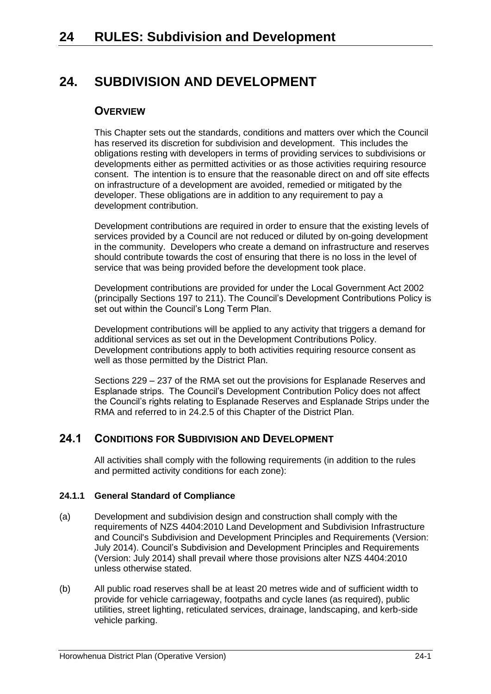# **24. SUBDIVISION AND DEVELOPMENT**

## **OVERVIEW**

This Chapter sets out the standards, conditions and matters over which the Council has reserved its discretion for subdivision and development. This includes the obligations resting with developers in terms of providing services to subdivisions or developments either as permitted activities or as those activities requiring resource consent. The intention is to ensure that the reasonable direct on and off site effects on infrastructure of a development are avoided, remedied or mitigated by the developer. These obligations are in addition to any requirement to pay a development contribution.

Development contributions are required in order to ensure that the existing levels of services provided by a Council are not reduced or diluted by on-going development in the community. Developers who create a demand on infrastructure and reserves should contribute towards the cost of ensuring that there is no loss in the level of service that was being provided before the development took place.

Development contributions are provided for under the Local Government Act 2002 (principally Sections 197 to 211). The Council's Development Contributions Policy is set out within the Council's Long Term Plan.

Development contributions will be applied to any activity that triggers a demand for additional services as set out in the Development Contributions Policy. Development contributions apply to both activities requiring resource consent as well as those permitted by the District Plan.

Sections 229 – 237 of the RMA set out the provisions for Esplanade Reserves and Esplanade strips. The Council's Development Contribution Policy does not affect the Council's rights relating to Esplanade Reserves and Esplanade Strips under the RMA and referred to in [24.2.5](#page-4-0) of this Chapter of the District Plan.

## **24.1 CONDITIONS FOR SUBDIVISION AND DEVELOPMENT**

All activities shall comply with the following requirements (in addition to the rules and permitted activity conditions for each zone):

## **24.1.1 General Standard of Compliance**

- (a) Development and subdivision design and construction shall comply with the requirements of NZS 4404:2010 Land Development and Subdivision Infrastructure and Council's Subdivision and Development Principles and Requirements (Version: July 2014). Council's Subdivision and Development Principles and Requirements (Version: July 2014) shall prevail where those provisions alter NZS 4404:2010 unless otherwise stated.
- (b) All public road reserves shall be at least 20 metres wide and of sufficient width to provide for vehicle carriageway, footpaths and cycle lanes (as required), public utilities, street lighting, reticulated services, drainage, landscaping, and kerb-side vehicle parking.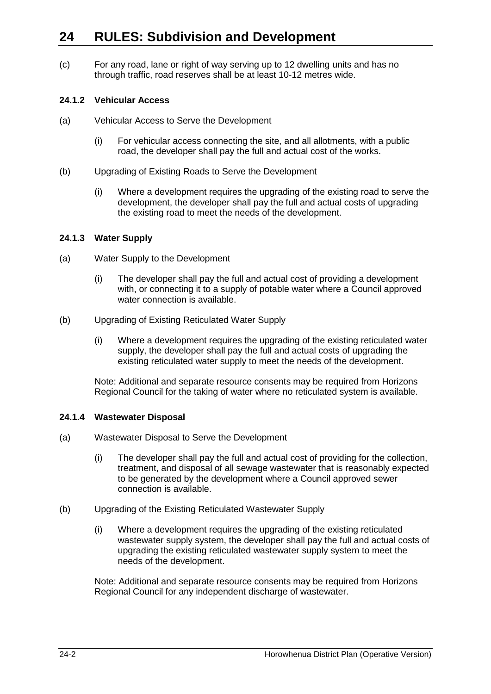# **24 RULES: Subdivision and Development**

(c) For any road, lane or right of way serving up to 12 dwelling units and has no through traffic, road reserves shall be at least 10-12 metres wide.

### **24.1.2 Vehicular Access**

- (a) Vehicular Access to Serve the Development
	- (i) For vehicular access connecting the site, and all allotments, with a public road, the developer shall pay the full and actual cost of the works.
- (b) Upgrading of Existing Roads to Serve the Development
	- (i) Where a development requires the upgrading of the existing road to serve the development, the developer shall pay the full and actual costs of upgrading the existing road to meet the needs of the development.

## **24.1.3 Water Supply**

- (a) Water Supply to the Development
	- (i) The developer shall pay the full and actual cost of providing a development with, or connecting it to a supply of potable water where a Council approved water connection is available.
- (b) Upgrading of Existing Reticulated Water Supply
	- (i) Where a development requires the upgrading of the existing reticulated water supply, the developer shall pay the full and actual costs of upgrading the existing reticulated water supply to meet the needs of the development.

Note: Additional and separate resource consents may be required from Horizons Regional Council for the taking of water where no reticulated system is available.

### **24.1.4 Wastewater Disposal**

- (a) Wastewater Disposal to Serve the Development
	- (i) The developer shall pay the full and actual cost of providing for the collection, treatment, and disposal of all sewage wastewater that is reasonably expected to be generated by the development where a Council approved sewer connection is available.
- (b) Upgrading of the Existing Reticulated Wastewater Supply
	- (i) Where a development requires the upgrading of the existing reticulated wastewater supply system, the developer shall pay the full and actual costs of upgrading the existing reticulated wastewater supply system to meet the needs of the development.

Note: Additional and separate resource consents may be required from Horizons Regional Council for any independent discharge of wastewater.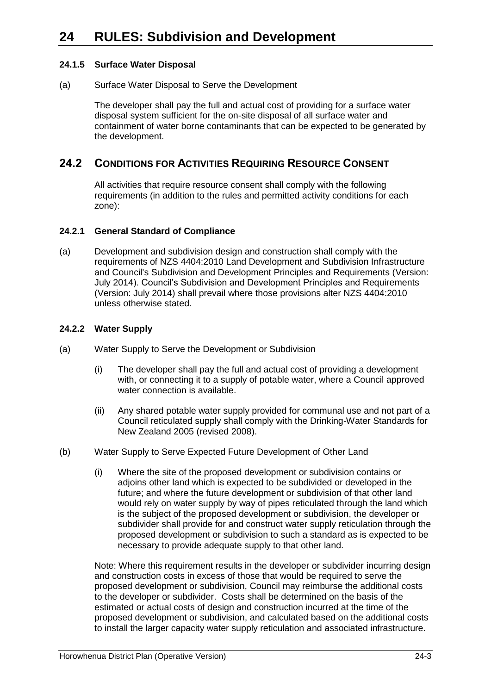## **24.1.5 Surface Water Disposal**

(a) Surface Water Disposal to Serve the Development

The developer shall pay the full and actual cost of providing for a surface water disposal system sufficient for the on-site disposal of all surface water and containment of water borne contaminants that can be expected to be generated by the development.

## **24.2 CONDITIONS FOR ACTIVITIES REQUIRING RESOURCE CONSENT**

All activities that require resource consent shall comply with the following requirements (in addition to the rules and permitted activity conditions for each zone):

#### **24.2.1 General Standard of Compliance**

(a) Development and subdivision design and construction shall comply with the requirements of NZS 4404:2010 Land Development and Subdivision Infrastructure and Council's Subdivision and Development Principles and Requirements (Version: July 2014). Council's Subdivision and Development Principles and Requirements (Version: July 2014) shall prevail where those provisions alter NZS 4404:2010 unless otherwise stated.

### **24.2.2 Water Supply**

- (a) Water Supply to Serve the Development or Subdivision
	- (i) The developer shall pay the full and actual cost of providing a development with, or connecting it to a supply of potable water, where a Council approved water connection is available.
	- (ii) Any shared potable water supply provided for communal use and not part of a Council reticulated supply shall comply with the Drinking-Water Standards for New Zealand 2005 (revised 2008).
- (b) Water Supply to Serve Expected Future Development of Other Land
	- (i) Where the site of the proposed development or subdivision contains or adjoins other land which is expected to be subdivided or developed in the future; and where the future development or subdivision of that other land would rely on water supply by way of pipes reticulated through the land which is the subject of the proposed development or subdivision, the developer or subdivider shall provide for and construct water supply reticulation through the proposed development or subdivision to such a standard as is expected to be necessary to provide adequate supply to that other land.

Note: Where this requirement results in the developer or subdivider incurring design and construction costs in excess of those that would be required to serve the proposed development or subdivision, Council may reimburse the additional costs to the developer or subdivider. Costs shall be determined on the basis of the estimated or actual costs of design and construction incurred at the time of the proposed development or subdivision, and calculated based on the additional costs to install the larger capacity water supply reticulation and associated infrastructure.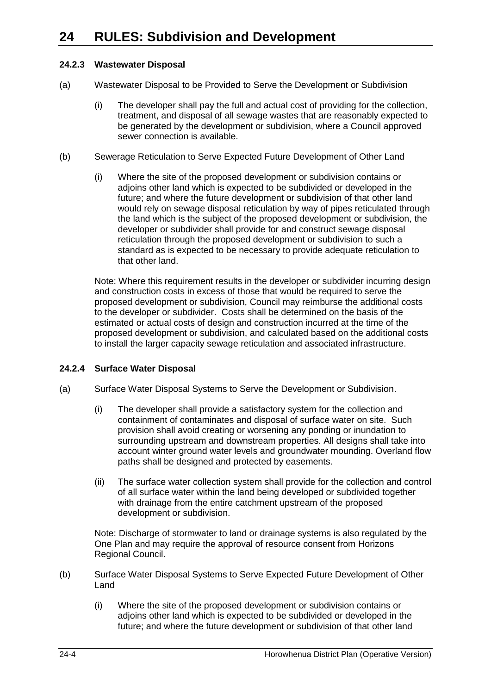## **24.2.3 Wastewater Disposal**

- (a) Wastewater Disposal to be Provided to Serve the Development or Subdivision
	- (i) The developer shall pay the full and actual cost of providing for the collection, treatment, and disposal of all sewage wastes that are reasonably expected to be generated by the development or subdivision, where a Council approved sewer connection is available.
- (b) Sewerage Reticulation to Serve Expected Future Development of Other Land
	- (i) Where the site of the proposed development or subdivision contains or adjoins other land which is expected to be subdivided or developed in the future; and where the future development or subdivision of that other land would rely on sewage disposal reticulation by way of pipes reticulated through the land which is the subject of the proposed development or subdivision, the developer or subdivider shall provide for and construct sewage disposal reticulation through the proposed development or subdivision to such a standard as is expected to be necessary to provide adequate reticulation to that other land.

Note: Where this requirement results in the developer or subdivider incurring design and construction costs in excess of those that would be required to serve the proposed development or subdivision, Council may reimburse the additional costs to the developer or subdivider. Costs shall be determined on the basis of the estimated or actual costs of design and construction incurred at the time of the proposed development or subdivision, and calculated based on the additional costs to install the larger capacity sewage reticulation and associated infrastructure.

## **24.2.4 Surface Water Disposal**

- (a) Surface Water Disposal Systems to Serve the Development or Subdivision.
	- (i) The developer shall provide a satisfactory system for the collection and containment of contaminates and disposal of surface water on site. Such provision shall avoid creating or worsening any ponding or inundation to surrounding upstream and downstream properties. All designs shall take into account winter ground water levels and groundwater mounding. Overland flow paths shall be designed and protected by easements.
	- (ii) The surface water collection system shall provide for the collection and control of all surface water within the land being developed or subdivided together with drainage from the entire catchment upstream of the proposed development or subdivision.

Note: Discharge of stormwater to land or drainage systems is also regulated by the One Plan and may require the approval of resource consent from Horizons Regional Council.

- (b) Surface Water Disposal Systems to Serve Expected Future Development of Other Land
	- (i) Where the site of the proposed development or subdivision contains or adjoins other land which is expected to be subdivided or developed in the future; and where the future development or subdivision of that other land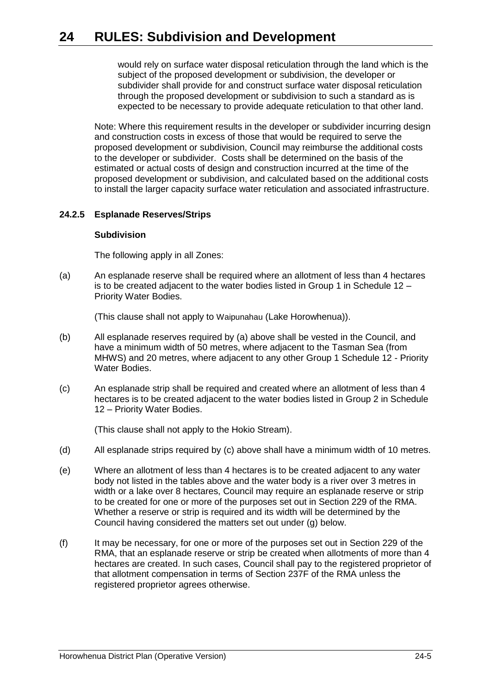# **24 RULES: Subdivision and Development**

would rely on surface water disposal reticulation through the land which is the subject of the proposed development or subdivision, the developer or subdivider shall provide for and construct surface water disposal reticulation through the proposed development or subdivision to such a standard as is expected to be necessary to provide adequate reticulation to that other land.

Note: Where this requirement results in the developer or subdivider incurring design and construction costs in excess of those that would be required to serve the proposed development or subdivision, Council may reimburse the additional costs to the developer or subdivider. Costs shall be determined on the basis of the estimated or actual costs of design and construction incurred at the time of the proposed development or subdivision, and calculated based on the additional costs to install the larger capacity surface water reticulation and associated infrastructure.

#### <span id="page-4-0"></span>**24.2.5 Esplanade Reserves/Strips**

#### **Subdivision**

The following apply in all Zones:

<span id="page-4-1"></span>(a) An esplanade reserve shall be required where an allotment of less than 4 hectares is to be created adjacent to the water bodies listed in Group 1 in Schedule 12 – Priority Water Bodies.

(This clause shall not apply to Waipunahau (Lake Horowhenua)).

- (b) All esplanade reserves required by [\(a\)](#page-4-1) above shall be vested in the Council, and have a minimum width of 50 metres, where adjacent to the Tasman Sea (from MHWS) and 20 metres, where adjacent to any other Group 1 Schedule 12 - Priority Water Bodies.
- <span id="page-4-2"></span>(c) An esplanade strip shall be required and created where an allotment of less than 4 hectares is to be created adjacent to the water bodies listed in Group 2 in Schedule 12 – Priority Water Bodies.

(This clause shall not apply to the Hokio Stream).

- (d) All esplanade strips required by [\(c\)](#page-4-2) above shall have a minimum width of 10 metres.
- (e) Where an allotment of less than 4 hectares is to be created adjacent to any water body not listed in the tables above and the water body is a river over 3 metres in width or a lake over 8 hectares, Council may require an esplanade reserve or strip to be created for one or more of the purposes set out in Section 229 of the RMA. Whether a reserve or strip is required and its width will be determined by the Council having considered the matters set out under [\(g\)](#page-5-0) below.
- (f) It may be necessary, for one or more of the purposes set out in Section 229 of the RMA, that an esplanade reserve or strip be created when allotments of more than 4 hectares are created. In such cases, Council shall pay to the registered proprietor of that allotment compensation in terms of Section 237F of the RMA unless the registered proprietor agrees otherwise.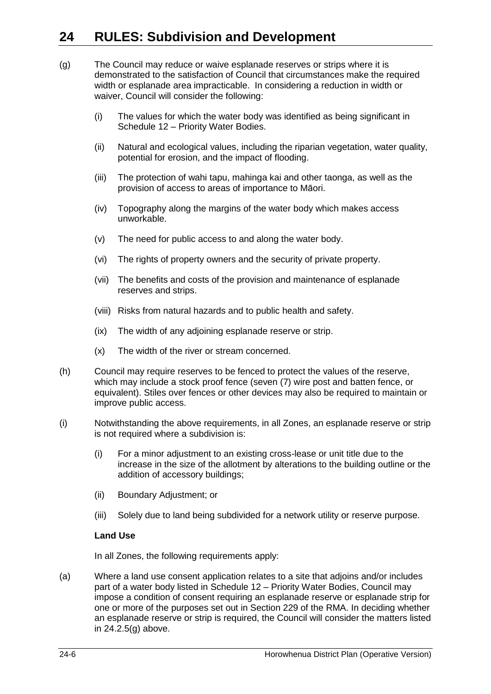# **24 RULES: Subdivision and Development**

- <span id="page-5-0"></span>(g) The Council may reduce or waive esplanade reserves or strips where it is demonstrated to the satisfaction of Council that circumstances make the required width or esplanade area impracticable. In considering a reduction in width or waiver, Council will consider the following:
	- (i) The values for which the water body was identified as being significant in Schedule 12 – Priority Water Bodies.
	- (ii) Natural and ecological values, including the riparian vegetation, water quality, potential for erosion, and the impact of flooding.
	- (iii) The protection of wahi tapu, mahinga kai and other taonga, as well as the provision of access to areas of importance to Māori.
	- (iv) Topography along the margins of the water body which makes access unworkable.
	- (v) The need for public access to and along the water body.
	- (vi) The rights of property owners and the security of private property.
	- (vii) The benefits and costs of the provision and maintenance of esplanade reserves and strips.
	- (viii) Risks from natural hazards and to public health and safety.
	- (ix) The width of any adjoining esplanade reserve or strip.
	- (x) The width of the river or stream concerned.
- (h) Council may require reserves to be fenced to protect the values of the reserve, which may include a stock proof fence (seven (7) wire post and batten fence, or equivalent). Stiles over fences or other devices may also be required to maintain or improve public access.
- (i) Notwithstanding the above requirements, in all Zones, an esplanade reserve or strip is not required where a subdivision is:
	- (i) For a minor adjustment to an existing cross-lease or unit title due to the increase in the size of the allotment by alterations to the building outline or the addition of accessory buildings;
	- (ii) Boundary Adjustment; or
	- (iii) Solely due to land being subdivided for a network utility or reserve purpose.

### **Land Use**

In all Zones, the following requirements apply:

(a) Where a land use consent application relates to a site that adjoins and/or includes part of a water body listed in Schedule 12 – Priority Water Bodies, Council may impose a condition of consent requiring an esplanade reserve or esplanade strip for one or more of the purposes set out in Section 229 of the RMA. In deciding whether an esplanade reserve or strip is required, the Council will consider the matters listed in 24.2.[5\(g\)](#page-5-0) above.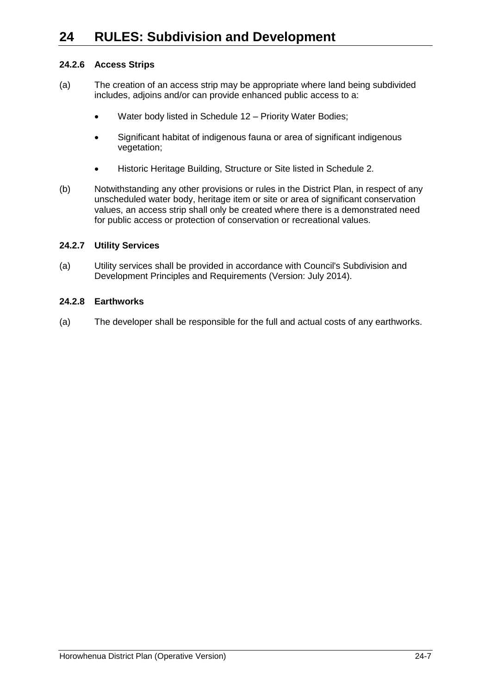## **24.2.6 Access Strips**

- (a) The creation of an access strip may be appropriate where land being subdivided includes, adjoins and/or can provide enhanced public access to a:
	- Water body listed in Schedule 12 Priority Water Bodies;
	- Significant habitat of indigenous fauna or area of significant indigenous vegetation;
	- Historic Heritage Building, Structure or Site listed in Schedule 2.
- (b) Notwithstanding any other provisions or rules in the District Plan, in respect of any unscheduled water body, heritage item or site or area of significant conservation values, an access strip shall only be created where there is a demonstrated need for public access or protection of conservation or recreational values.

### **24.2.7 Utility Services**

(a) Utility services shall be provided in accordance with Council's Subdivision and Development Principles and Requirements (Version: July 2014).

#### **24.2.8 Earthworks**

(a) The developer shall be responsible for the full and actual costs of any earthworks.